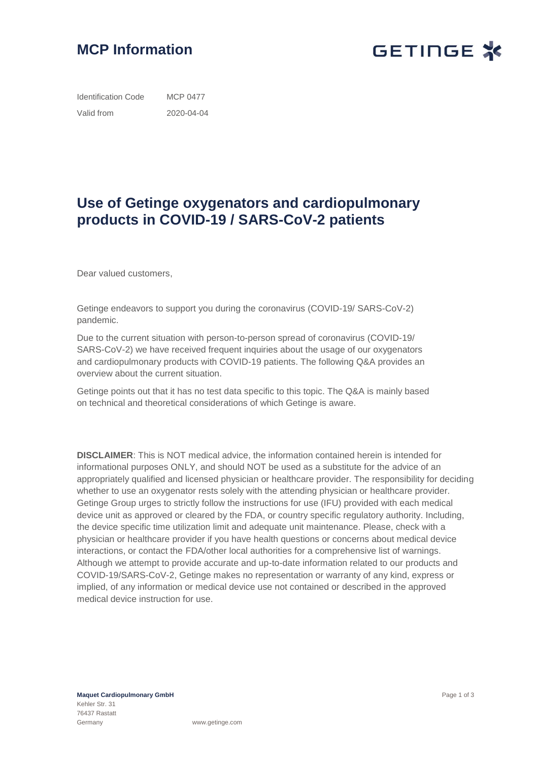



Identification Code Valid from MCP 0477 2020-04-04

## **Use of Getinge oxygenators and cardiopulmonary products in COVID-19 / SARS-CoV-2 patients**

Dear valued customers,

Getinge endeavors to support you during the coronavirus (COVID-19/ SARS-CoV-2) pandemic.

Due to the current situation with person-to-person spread of coronavirus (COVID-19/ SARS-CoV-2) we have received frequent inquiries about the usage of our oxygenators and cardiopulmonary products with COVID-19 patients. The following Q&A provides an overview about the current situation.

Getinge points out that it has no test data specific to this topic. The Q&A is mainly based on technical and theoretical considerations of which Getinge is aware.

**DISCLAIMER**: This is NOT medical advice, the information contained herein is intended for informational purposes ONLY, and should NOT be used as a substitute for the advice of an appropriately qualified and licensed physician or healthcare provider. The responsibility for deciding whether to use an oxygenator rests solely with the attending physician or healthcare provider. Getinge Group urges to strictly follow the instructions for use (IFU) provided with each medical device unit as approved or cleared by the FDA, or country specific regulatory authority. Including, the device specific time utilization limit and adequate unit maintenance. Please, check with a physician or healthcare provider if you have health questions or concerns about medical device interactions, or contact the FDA/other local authorities for a comprehensive list of warnings. Although we attempt to provide accurate and up-to-date information related to our products and COVID-19/SARS-CoV-2, Getinge makes no representation or warranty of any kind, express or implied, of any information or medical device use not contained or described in the approved medical device instruction for use.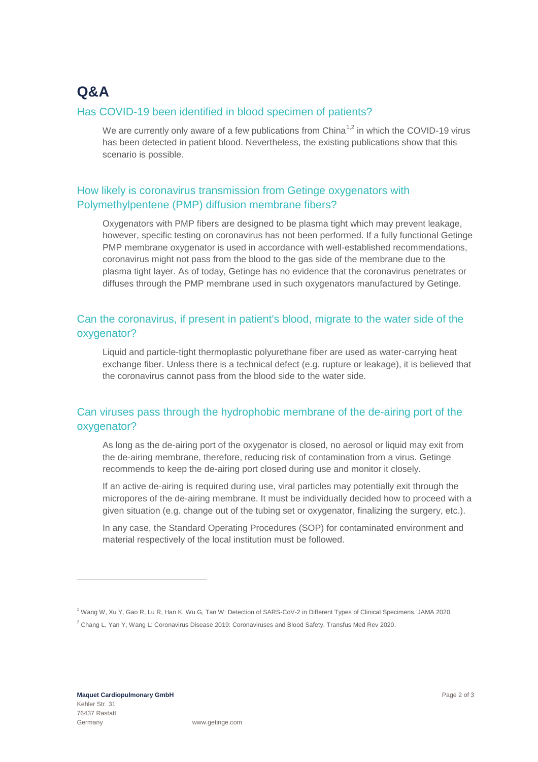# **Q&A**

#### Has COVID-19 been identified in blood specimen of patients?

We are currently only aware of a few publications from China<sup>1,2</sup> in which the COVID-19 virus has been detected in patient blood. Nevertheless, the existing publications show that this scenario is possible.

#### How likely is coronavirus transmission from Getinge oxygenators with Polymethylpentene (PMP) diffusion membrane fibers?

Oxygenators with PMP fibers are designed to be plasma tight which may prevent leakage, however, specific testing on coronavirus has not been performed. If a fully functional Getinge PMP membrane oxygenator is used in accordance with well-established recommendations, coronavirus might not pass from the blood to the gas side of the membrane due to the plasma tight layer. As of today, Getinge has no evidence that the coronavirus penetrates or diffuses through the PMP membrane used in such oxygenators manufactured by Getinge.

#### Can the coronavirus, if present in patient's blood, migrate to the water side of the oxygenator?

Liquid and particle-tight thermoplastic polyurethane fiber are used as water-carrying heat exchange fiber. Unless there is a technical defect (e.g. rupture or leakage), it is believed that the coronavirus cannot pass from the blood side to the water side.

### Can viruses pass through the hydrophobic membrane of the de-airing port of the oxygenator?

As long as the de-airing port of the oxygenator is closed, no aerosol or liquid may exit from the de-airing membrane, therefore, reducing risk of contamination from a virus. Getinge recommends to keep the de-airing port closed during use and monitor it closely.

If an active de-airing is required during use, viral particles may potentially exit through the micropores of the de-airing membrane. It must be individually decided how to proceed with a given situation (e.g. change out of the tubing set or oxygenator, finalizing the surgery, etc.).

In any case, the Standard Operating Procedures (SOP) for contaminated environment and material respectively of the local institution must be followed.

-

<sup>1</sup> Wang W, Xu Y, Gao R, Lu R, Han K, Wu G, Tan W: Detection of SARS-CoV-2 in Different Types of Clinical Specimens. JAMA 2020.

<sup>2</sup> Chang L, Yan Y, Wang L: Coronavirus Disease 2019: Coronaviruses and Blood Safety. Transfus Med Rev 2020.